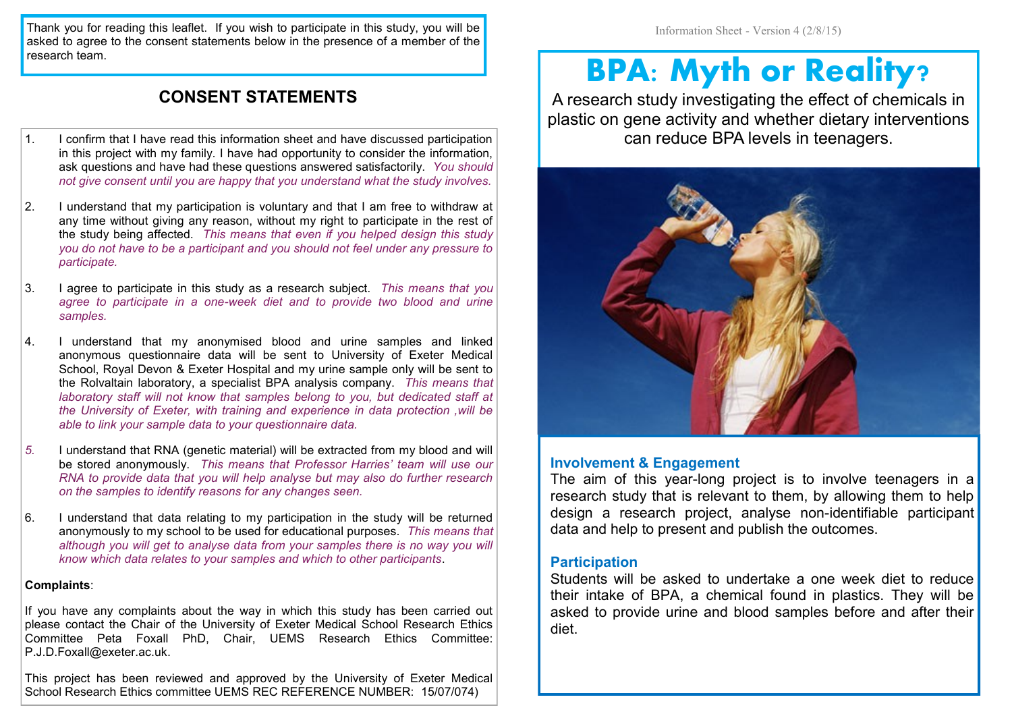Thank you for reading this leaflet. If you wish to participate in this study, you will be asked to agree to the consent statements below in the presence of a member of the research team.

#### **CONSENT STATEMENTS**

- 1. I confirm that I have read this information sheet and have discussed participation in this project with my family. I have had opportunity to consider the information, ask questions and have had these questions answered satisfactorily. *You should not give consent until you are happy that you understand what the study involves.*
- 2. I understand that my participation is voluntary and that I am free to withdraw at any time without giving any reason, without my right to participate in the rest of the study being affected. *This means that even if you helped design this study you do not have to be a participant and you should not feel under any pressure to participate.*
- 3. I agree to participate in this study as a research subject. *This means that you agree to participate in a one-week diet and to provide two blood and urine samples.*
- 4. I understand that my anonymised blood and urine samples and linked anonymous questionnaire data will be sent to University of Exeter Medical School, Royal Devon & Exeter Hospital and my urine sample only will be sent to the Rolvaltain laboratory, a specialist BPA analysis company. *This means that laboratory staff will not know that samples belong to you, but dedicated staff at the University of Exeter, with training and experience in data protection ,will be able to link your sample data to your questionnaire data.*
- *5.* I understand that RNA (genetic material) will be extracted from my blood and will be stored anonymously. *This means that Professor Harries' team will use our RNA to provide data that you will help analyse but may also do further research on the samples to identify reasons for any changes seen.*
- 6. I understand that data relating to my participation in the study will be returned anonymously to my school to be used for educational purposes. *This means that although you will get to analyse data from your samples there is no way you will know which data relates to your samples and which to other participants*.

#### **Complaints**:

If you have any complaints about the way in which this study has been carried out please contact the Chair of the University of Exeter Medical School Research Ethics Committee Peta Foxall PhD, Chair, UEMS Research Ethics Committee: P.J.D.Foxall@exeter.ac.uk.

This project has been reviewed and approved by the University of Exeter Medical School Research Ethics committee UEMS REC REFERENCE NUMBER: 15/07/074)

Information Sheet - Version 4 (2/8/15)

# **BPA: Myth or Reality?**

A research study investigating the effect of chemicals in plastic on gene activity and whether dietary interventions can reduce BPA levels in teenagers.



#### **Involvement & Engagement**

The aim of this year-long project is to involve teenagers in a research study that is relevant to them, by allowing them to help design a research project, analyse non-identifiable participant data and help to present and publish the outcomes.

#### **Participation**

Students will be asked to undertake a one week diet to reduce their intake of BPA, a chemical found in plastics. They will be asked to provide urine and blood samples before and after their diet.